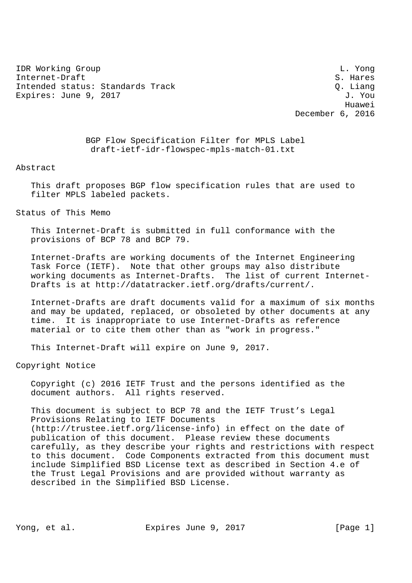IDR Working Group L. Yong Internet-Draft S. Hares Intended status: Standards Track Contract C. Liang Expires: June 9, 2017 J. You

 Huawei December 6, 2016

> BGP Flow Specification Filter for MPLS Label draft-ietf-idr-flowspec-mpls-match-01.txt

Abstract

 This draft proposes BGP flow specification rules that are used to filter MPLS labeled packets.

Status of This Memo

 This Internet-Draft is submitted in full conformance with the provisions of BCP 78 and BCP 79.

 Internet-Drafts are working documents of the Internet Engineering Task Force (IETF). Note that other groups may also distribute working documents as Internet-Drafts. The list of current Internet- Drafts is at http://datatracker.ietf.org/drafts/current/.

 Internet-Drafts are draft documents valid for a maximum of six months and may be updated, replaced, or obsoleted by other documents at any time. It is inappropriate to use Internet-Drafts as reference material or to cite them other than as "work in progress."

This Internet-Draft will expire on June 9, 2017.

Copyright Notice

 Copyright (c) 2016 IETF Trust and the persons identified as the document authors. All rights reserved.

 This document is subject to BCP 78 and the IETF Trust's Legal Provisions Relating to IETF Documents (http://trustee.ietf.org/license-info) in effect on the date of publication of this document. Please review these documents carefully, as they describe your rights and restrictions with respect to this document. Code Components extracted from this document must include Simplified BSD License text as described in Section 4.e of the Trust Legal Provisions and are provided without warranty as described in the Simplified BSD License.

Yong, et al. Expires June 9, 2017 [Page 1]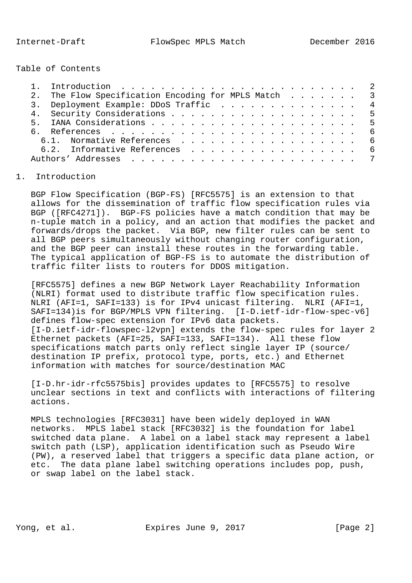Table of Contents

| 2. The Flow Specification Encoding for MPLS Match 3 |
|-----------------------------------------------------|
| 3. Deployment Example: DDoS Traffic 4               |
| 4. Security Considerations 5                        |
|                                                     |
|                                                     |
| 6.1. Normative References 6                         |
| 6.2. Informative References 6                       |
|                                                     |

## 1. Introduction

 BGP Flow Specification (BGP-FS) [RFC5575] is an extension to that allows for the dissemination of traffic flow specification rules via BGP ([RFC4271]). BGP-FS policies have a match condition that may be n-tuple match in a policy, and an action that modifies the packet and forwards/drops the packet. Via BGP, new filter rules can be sent to all BGP peers simultaneously without changing router configuration, and the BGP peer can install these routes in the forwarding table. The typical application of BGP-FS is to automate the distribution of traffic filter lists to routers for DDOS mitigation.

 [RFC5575] defines a new BGP Network Layer Reachability Information (NLRI) format used to distribute traffic flow specification rules. NLRI (AFI=1, SAFI=133) is for IPv4 unicast filtering. NLRI (AFI=1, SAFI=134)is for BGP/MPLS VPN filtering. [I-D.ietf-idr-flow-spec-v6] defines flow-spec extension for IPv6 data packets. [I-D.ietf-idr-flowspec-l2vpn] extends the flow-spec rules for layer 2 Ethernet packets (AFI=25, SAFI=133, SAFI=134). All these flow specifications match parts only reflect single layer IP (source/ destination IP prefix, protocol type, ports, etc.) and Ethernet information with matches for source/destination MAC

 [I-D.hr-idr-rfc5575bis] provides updates to [RFC5575] to resolve unclear sections in text and conflicts with interactions of filtering actions.

 MPLS technologies [RFC3031] have been widely deployed in WAN networks. MPLS label stack [RFC3032] is the foundation for label switched data plane. A label on a label stack may represent a label switch path (LSP), application identification such as Pseudo Wire (PW), a reserved label that triggers a specific data plane action, or etc. The data plane label switching operations includes pop, push, or swap label on the label stack.

Yong, et al. Expires June 9, 2017 [Page 2]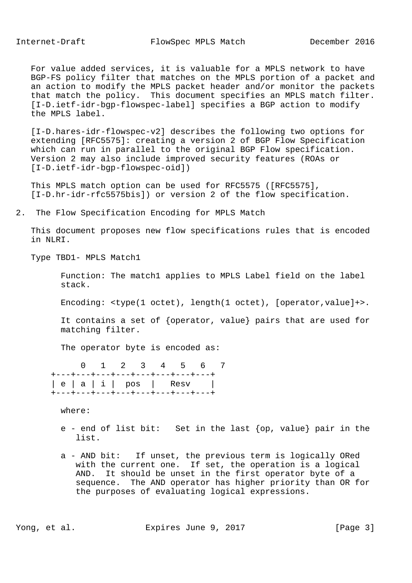For value added services, it is valuable for a MPLS network to have BGP-FS policy filter that matches on the MPLS portion of a packet and an action to modify the MPLS packet header and/or monitor the packets that match the policy. This document specifies an MPLS match filter. [I-D.ietf-idr-bgp-flowspec-label] specifies a BGP action to modify the MPLS label.

 [I-D.hares-idr-flowspec-v2] describes the following two options for extending [RFC5575]: creating a version 2 of BGP Flow Specification which can run in parallel to the original BGP Flow specification. Version 2 may also include improved security features (ROAs or [I-D.ietf-idr-bgp-flowspec-oid])

 This MPLS match option can be used for RFC5575 ([RFC5575], [I-D.hr-idr-rfc5575bis]) or version 2 of the flow specification.

2. The Flow Specification Encoding for MPLS Match

 This document proposes new flow specifications rules that is encoded in NLRI.

Type TBD1- MPLS Match1

 Function: The match1 applies to MPLS Label field on the label stack.

Encoding: <type(1 octet), length(1 octet), [operator,value]+>.

 It contains a set of {operator, value} pairs that are used for matching filter.

The operator byte is encoded as:

 0 1 2 3 4 5 6 7 +---+---+---+---+---+---+---+---+ | e | a | i | pos | Resv | +---+---+---+---+---+---+---+---+

where:

- e end of list bit: Set in the last {op, value} pair in the list.
- a AND bit: If unset, the previous term is logically ORed with the current one. If set, the operation is a logical AND. It should be unset in the first operator byte of a sequence. The AND operator has higher priority than OR for the purposes of evaluating logical expressions.

Yong, et al. Expires June 9, 2017 [Page 3]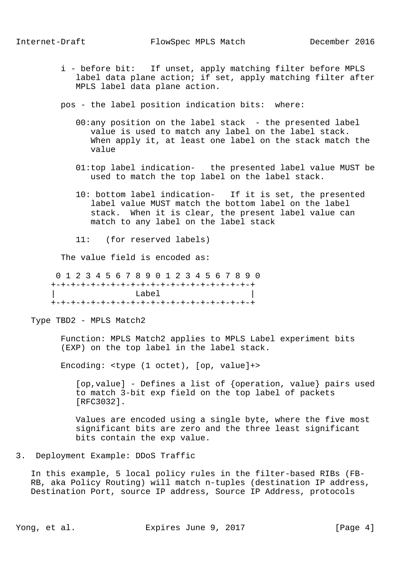i - before bit: If unset, apply matching filter before MPLS label data plane action; if set, apply matching filter after MPLS label data plane action.

pos - the label position indication bits: where:

- 00:any position on the label stack the presented label value is used to match any label on the label stack. When apply it, at least one label on the stack match the value
- 01:top label indication- the presented label value MUST be used to match the top label on the label stack.
- 10: bottom label indication- If it is set, the presented label value MUST match the bottom label on the label stack. When it is clear, the present label value can match to any label on the label stack
- 11: (for reserved labels)

The value field is encoded as:

 0 1 2 3 4 5 6 7 8 9 0 1 2 3 4 5 6 7 8 9 0 +-+-+-+-+-+-+-+-+-+-+-+-+-+-+-+-+-+-+-+-+ | Label | +-+-+-+-+-+-+-+-+-+-+-+-+-+-+-+-+-+-+-+-+

Type TBD2 - MPLS Match2

 Function: MPLS Match2 applies to MPLS Label experiment bits (EXP) on the top label in the label stack.

Encoding: <type (1 octet), [op, value]+>

 [op,value] - Defines a list of {operation, value} pairs used to match 3-bit exp field on the top label of packets [RFC3032].

 Values are encoded using a single byte, where the five most significant bits are zero and the three least significant bits contain the exp value.

3. Deployment Example: DDoS Traffic

 In this example, 5 local policy rules in the filter-based RIBs (FB- RB, aka Policy Routing) will match n-tuples (destination IP address, Destination Port, source IP address, Source IP Address, protocols

Yong, et al. Expires June 9, 2017 [Page 4]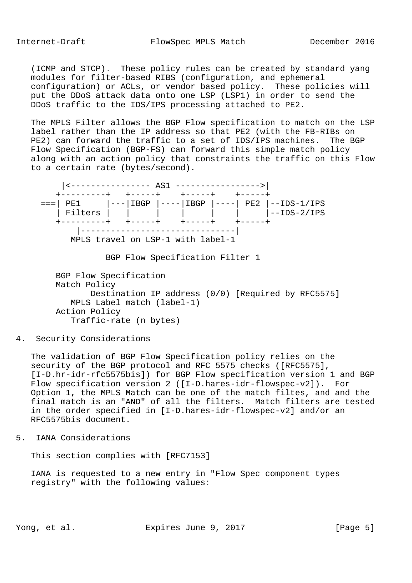(ICMP and STCP). These policy rules can be created by standard yang modules for filter-based RIBS (configuration, and ephemeral configuration) or ACLs, or vendor based policy. These policies will put the DDoS attack data onto one LSP (LSP1) in order to send the DDoS traffic to the IDS/IPS processing attached to PE2.

 The MPLS Filter allows the BGP Flow specification to match on the LSP label rather than the IP address so that PE2 (with the FB-RIBs on PE2) can forward the traffic to a set of IDS/IPS machines. The BGP Flow Specification (BGP-FS) can forward this simple match policy along with an action policy that constraints the traffic on this Flow to a certain rate (bytes/second).



BGP Flow Specification Filter 1

 BGP Flow Specification Match Policy Destination IP address (0/0) [Required by RFC5575] MPLS Label match (label-1) Action Policy Traffic-rate (n bytes)

## 4. Security Considerations

 The validation of BGP Flow Specification policy relies on the security of the BGP protocol and RFC 5575 checks ([RFC5575], [I-D.hr-idr-rfc5575bis]) for BGP Flow specification version 1 and BGP Flow specification version 2 ([I-D.hares-idr-flowspec-v2]). For Option 1, the MPLS Match can be one of the match filtes, and and the final match is an "AND" of all the filters. Match filters are tested in the order specified in [I-D.hares-idr-flowspec-v2] and/or an RFC5575bis document.

5. IANA Considerations

This section complies with [RFC7153]

 IANA is requested to a new entry in "Flow Spec component types registry" with the following values:

Yong, et al. Expires June 9, 2017 [Page 5]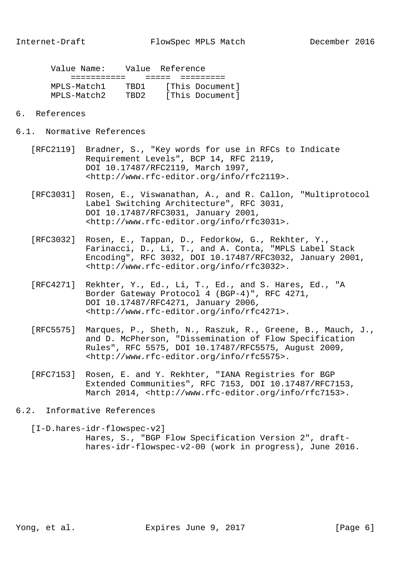|  | Value Name: | Value Reference |  |                 |  |
|--|-------------|-----------------|--|-----------------|--|
|  |             |                 |  |                 |  |
|  | MPLS-Match1 | TRD1.           |  | [This Document] |  |
|  | MPLS-Match2 | TRD2            |  | [This Document] |  |

- 6. References
- 6.1. Normative References
	- [RFC2119] Bradner, S., "Key words for use in RFCs to Indicate Requirement Levels", BCP 14, RFC 2119, DOI 10.17487/RFC2119, March 1997, <http://www.rfc-editor.org/info/rfc2119>.
	- [RFC3031] Rosen, E., Viswanathan, A., and R. Callon, "Multiprotocol Label Switching Architecture", RFC 3031, DOI 10.17487/RFC3031, January 2001, <http://www.rfc-editor.org/info/rfc3031>.
	- [RFC3032] Rosen, E., Tappan, D., Fedorkow, G., Rekhter, Y., Farinacci, D., Li, T., and A. Conta, "MPLS Label Stack Encoding", RFC 3032, DOI 10.17487/RFC3032, January 2001, <http://www.rfc-editor.org/info/rfc3032>.
	- [RFC4271] Rekhter, Y., Ed., Li, T., Ed., and S. Hares, Ed., "A Border Gateway Protocol 4 (BGP-4)", RFC 4271, DOI 10.17487/RFC4271, January 2006, <http://www.rfc-editor.org/info/rfc4271>.
	- [RFC5575] Marques, P., Sheth, N., Raszuk, R., Greene, B., Mauch, J., and D. McPherson, "Dissemination of Flow Specification Rules", RFC 5575, DOI 10.17487/RFC5575, August 2009, <http://www.rfc-editor.org/info/rfc5575>.
	- [RFC7153] Rosen, E. and Y. Rekhter, "IANA Registries for BGP Extended Communities", RFC 7153, DOI 10.17487/RFC7153, March 2014, <http://www.rfc-editor.org/info/rfc7153>.
- 6.2. Informative References

 <sup>[</sup>I-D.hares-idr-flowspec-v2] Hares, S., "BGP Flow Specification Version 2", draft hares-idr-flowspec-v2-00 (work in progress), June 2016.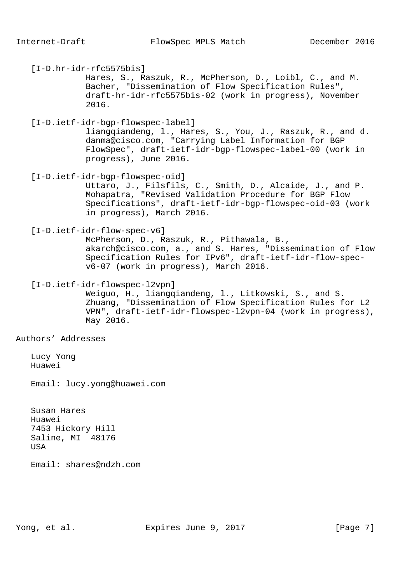[I-D.hr-idr-rfc5575bis]

 Hares, S., Raszuk, R., McPherson, D., Loibl, C., and M. Bacher, "Dissemination of Flow Specification Rules", draft-hr-idr-rfc5575bis-02 (work in progress), November 2016.

[I-D.ietf-idr-bgp-flowspec-label]

 liangqiandeng, l., Hares, S., You, J., Raszuk, R., and d. danma@cisco.com, "Carrying Label Information for BGP FlowSpec", draft-ietf-idr-bgp-flowspec-label-00 (work in progress), June 2016.

[I-D.ietf-idr-bgp-flowspec-oid]

 Uttaro, J., Filsfils, C., Smith, D., Alcaide, J., and P. Mohapatra, "Revised Validation Procedure for BGP Flow Specifications", draft-ietf-idr-bgp-flowspec-oid-03 (work in progress), March 2016.

## [I-D.ietf-idr-flow-spec-v6]

 McPherson, D., Raszuk, R., Pithawala, B., akarch@cisco.com, a., and S. Hares, "Dissemination of Flow Specification Rules for IPv6", draft-ietf-idr-flow-spec v6-07 (work in progress), March 2016.

[I-D.ietf-idr-flowspec-l2vpn]

 Weiguo, H., liangqiandeng, l., Litkowski, S., and S. Zhuang, "Dissemination of Flow Specification Rules for L2 VPN", draft-ietf-idr-flowspec-l2vpn-04 (work in progress), May 2016.

Authors' Addresses

 Lucy Yong Huawei

Email: lucy.yong@huawei.com

 Susan Hares Huawei 7453 Hickory Hill Saline, MI 48176 USA

Email: shares@ndzh.com

Yong, et al. **Expires June 9, 2017** [Page 7]